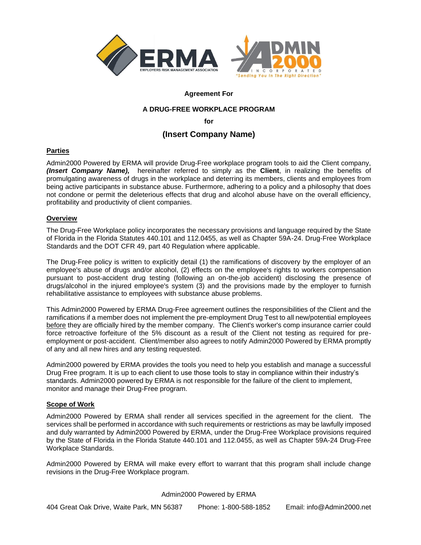



# **Agreement For**

# **A DRUG-FREE WORKPLACE PROGRAM**

**for**

# **(Insert Company Name)**

# **Parties**

Admin2000 Powered by ERMA will provide Drug-Free workplace program tools to aid the Client company, *(Insert Company Name),* hereinafter referred to simply as the **Client**, in realizing the benefits of promulgating awareness of drugs in the workplace and deterring its members, clients and employees from being active participants in substance abuse. Furthermore, adhering to a policy and a philosophy that does not condone or permit the deleterious effects that drug and alcohol abuse have on the overall efficiency, profitability and productivity of client companies.

## **Overview**

The Drug-Free Workplace policy incorporates the necessary provisions and language required by the State of Florida in the Florida Statutes 440.101 and 112.0455, as well as Chapter 59A-24. Drug-Free Workplace Standards and the DOT CFR 49, part 40 Regulation where applicable.

The Drug-Free policy is written to explicitly detail (1) the ramifications of discovery by the employer of an employee's abuse of drugs and/or alcohol, (2) effects on the employee's rights to workers compensation pursuant to post-accident drug testing (following an on-the-job accident) disclosing the presence of drugs/alcohol in the injured employee's system (3) and the provisions made by the employer to furnish rehabilitative assistance to employees with substance abuse problems.

This Admin2000 Powered by ERMA Drug-Free agreement outlines the responsibilities of the Client and the ramifications if a member does not implement the pre-employment Drug Test to all new/potential employees before they are officially hired by the member company. The Client's worker's comp insurance carrier could force retroactive forfeiture of the 5% discount as a result of the Client not testing as required for preemployment or post-accident. Client/member also agrees to notify Admin2000 Powered by ERMA promptly of any and all new hires and any testing requested.

Admin2000 powered by ERMA provides the tools you need to help you establish and manage a successful Drug Free program. It is up to each client to use those tools to stay in compliance within their industry's standards. Admin2000 powered by ERMA is not responsible for the failure of the client to implement, monitor and manage their Drug-Free program.

# **Scope of Work**

Admin2000 Powered by ERMA shall render all services specified in the agreement for the client. The services shall be performed in accordance with such requirements or restrictions as may be lawfully imposed and duly warranted by Admin2000 Powered by ERMA, under the Drug-Free Workplace provisions required by the State of Florida in the Florida Statute 440.101 and 112.0455, as well as Chapter 59A-24 Drug-Free Workplace Standards.

Admin2000 Powered by ERMA will make every effort to warrant that this program shall include change revisions in the Drug-Free Workplace program.

### Admin2000 Powered by ERMA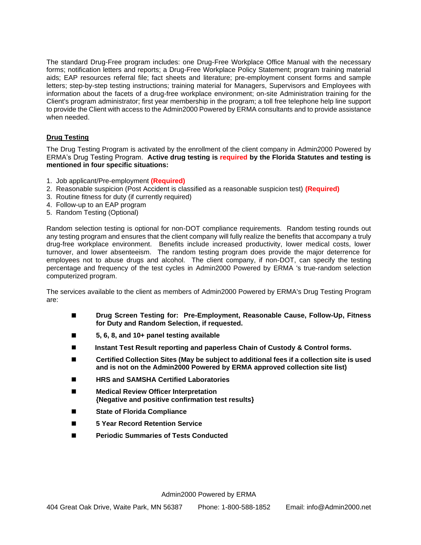The standard Drug-Free program includes: one Drug-Free Workplace Office Manual with the necessary forms; notification letters and reports; a Drug-Free Workplace Policy Statement; program training material aids; EAP resources referral file; fact sheets and literature; pre-employment consent forms and sample letters; step-by-step testing instructions; training material for Managers, Supervisors and Employees with information about the facets of a drug-free workplace environment; on-site Administration training for the Client's program administrator; first year membership in the program; a toll free telephone help line support to provide the Client with access to the Admin2000 Powered by ERMA consultants and to provide assistance when needed.

# **Drug Testing**

The Drug Testing Program is activated by the enrollment of the client company in Admin2000 Powered by ERMA's Drug Testing Program. **Active drug testing is required by the Florida Statutes and testing is mentioned in four specific situations:**

- 1. Job applicant/Pre-employment **(Required)**
- 2. Reasonable suspicion (Post Accident is classified as a reasonable suspicion test) **(Required)**
- 3. Routine fitness for duty (if currently required)
- 4. Follow-up to an EAP program
- 5. Random Testing (Optional)

Random selection testing is optional for non-DOT compliance requirements. Random testing rounds out any testing program and ensures that the client company will fully realize the benefits that accompany a truly drug-free workplace environment. Benefits include increased productivity, lower medical costs, lower turnover, and lower absenteeism. The random testing program does provide the major deterrence for employees not to abuse drugs and alcohol. The client company, if non-DOT, can specify the testing percentage and frequency of the test cycles in Admin2000 Powered by ERMA 's true-random selection computerized program.

The services available to the client as members of Admin2000 Powered by ERMA's Drug Testing Program are:

- ◼ **Drug Screen Testing for: Pre-Employment, Reasonable Cause, Follow-Up, Fitness for Duty and Random Selection, if requested.**
- ◼ **5, 6, 8, and 10+ panel testing available**
- ◼ **Instant Test Result reporting and paperless Chain of Custody & Control forms.**
- Certified Collection Sites (May be subject to additional fees if a collection site is used **and is not on the Admin2000 Powered by ERMA approved collection site list)**
- ◼ **HRS and SAMSHA Certified Laboratories**
- ◼ **Medical Review Officer Interpretation {Negative and positive confirmation test results}**
- **State of Florida Compliance**
- ◼ **5 Year Record Retention Service**
- ◼ **Periodic Summaries of Tests Conducted**

Admin2000 Powered by ERMA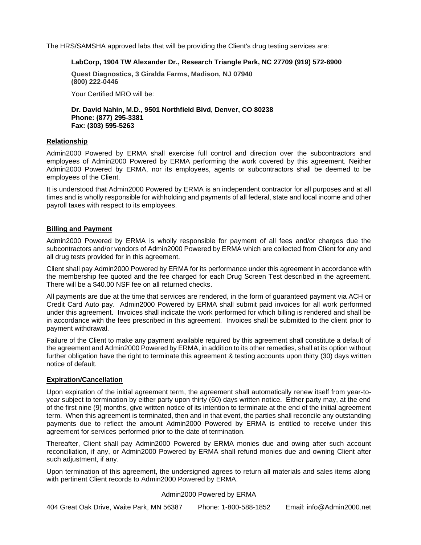The HRS/SAMSHA approved labs that will be providing the Client's drug testing services are:

### **LabCorp, 1904 TW Alexander Dr., Research Triangle Park, NC 27709 (919) 572-6900**

**Quest Diagnostics, 3 Giralda Farms, Madison, NJ 07940 (800) 222-0446**

Your Certified MRO will be:

**Dr. David Nahin, M.D., 9501 Northfield Blvd, Denver, CO 80238 Phone: (877) 295-3381 Fax: (303) 595-5263**

### **Relationship**

Admin2000 Powered by ERMA shall exercise full control and direction over the subcontractors and employees of Admin2000 Powered by ERMA performing the work covered by this agreement. Neither Admin2000 Powered by ERMA, nor its employees, agents or subcontractors shall be deemed to be employees of the Client.

It is understood that Admin2000 Powered by ERMA is an independent contractor for all purposes and at all times and is wholly responsible for withholding and payments of all federal, state and local income and other payroll taxes with respect to its employees.

## **Billing and Payment**

Admin2000 Powered by ERMA is wholly responsible for payment of all fees and/or charges due the subcontractors and/or vendors of Admin2000 Powered by ERMA which are collected from Client for any and all drug tests provided for in this agreement.

Client shall pay Admin2000 Powered by ERMA for its performance under this agreement in accordance with the membership fee quoted and the fee charged for each Drug Screen Test described in the agreement. There will be a \$40.00 NSF fee on all returned checks.

All payments are due at the time that services are rendered, in the form of guaranteed payment via ACH or Credit Card Auto pay. Admin2000 Powered by ERMA shall submit paid invoices for all work performed under this agreement. Invoices shall indicate the work performed for which billing is rendered and shall be in accordance with the fees prescribed in this agreement. Invoices shall be submitted to the client prior to payment withdrawal.

Failure of the Client to make any payment available required by this agreement shall constitute a default of the agreement and Admin2000 Powered by ERMA, in addition to its other remedies, shall at its option without further obligation have the right to terminate this agreement & testing accounts upon thirty (30) days written notice of default.

### **Expiration/Cancellation**

Upon expiration of the initial agreement term, the agreement shall automatically renew itself from year-toyear subject to termination by either party upon thirty (60) days written notice. Either party may, at the end of the first nine (9) months, give written notice of its intention to terminate at the end of the initial agreement term. When this agreement is terminated, then and in that event, the parties shall reconcile any outstanding payments due to reflect the amount Admin2000 Powered by ERMA is entitled to receive under this agreement for services performed prior to the date of termination.

Thereafter, Client shall pay Admin2000 Powered by ERMA monies due and owing after such account reconciliation, if any, or Admin2000 Powered by ERMA shall refund monies due and owning Client after such adjustment, if any.

Upon termination of this agreement, the undersigned agrees to return all materials and sales items along with pertinent Client records to Admin2000 Powered by ERMA.

### Admin2000 Powered by ERMA

404 Great Oak Drive, Waite Park, MN 56387 Phone: 1-800-588-1852 Email: info@Admin2000.net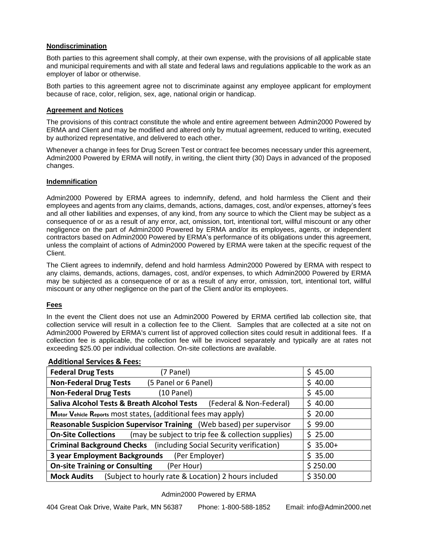## **Nondiscrimination**

Both parties to this agreement shall comply, at their own expense, with the provisions of all applicable state and municipal requirements and with all state and federal laws and regulations applicable to the work as an employer of labor or otherwise.

Both parties to this agreement agree not to discriminate against any employee applicant for employment because of race, color, religion, sex, age, national origin or handicap.

### **Agreement and Notices**

The provisions of this contract constitute the whole and entire agreement between Admin2000 Powered by ERMA and Client and may be modified and altered only by mutual agreement, reduced to writing, executed by authorized representative, and delivered to each other.

Whenever a change in fees for Drug Screen Test or contract fee becomes necessary under this agreement, Admin2000 Powered by ERMA will notify, in writing, the client thirty (30) Days in advanced of the proposed changes.

## **Indemnification**

Admin2000 Powered by ERMA agrees to indemnify, defend, and hold harmless the Client and their employees and agents from any claims, demands, actions, damages, cost, and/or expenses, attorney's fees and all other liabilities and expenses, of any kind, from any source to which the Client may be subject as a consequence of or as a result of any error, act, omission, tort, intentional tort, willful miscount or any other negligence on the part of Admin2000 Powered by ERMA and/or its employees, agents, or independent contractors based on Admin2000 Powered by ERMA's performance of its obligations under this agreement, unless the complaint of actions of Admin2000 Powered by ERMA were taken at the specific request of the Client.

The Client agrees to indemnify, defend and hold harmless Admin2000 Powered by ERMA with respect to any claims, demands, actions, damages, cost, and/or expenses, to which Admin2000 Powered by ERMA may be subjected as a consequence of or as a result of any error, omission, tort, intentional tort, willful miscount or any other negligence on the part of the Client and/or its employees.

# **Fees**

In the event the Client does not use an Admin2000 Powered by ERMA certified lab collection site, that collection service will result in a collection fee to the Client. Samples that are collected at a site not on Admin2000 Powered by ERMA's current list of approved collection sites could result in additional fees. If a collection fee is applicable, the collection fee will be invoiced separately and typically are at rates not exceeding \$25.00 per individual collection. On-site collections are available.

| <b>Federal Drug Tests</b>                                                         | (7 Panel)            |                                                    | \$45.00   |
|-----------------------------------------------------------------------------------|----------------------|----------------------------------------------------|-----------|
| <b>Non-Federal Drug Tests</b>                                                     | (5 Panel or 6 Panel) |                                                    | \$40.00   |
| <b>Non-Federal Drug Tests</b>                                                     | (10 Panel)           |                                                    | \$45.00   |
| <b>Saliva Alcohol Tests &amp; Breath Alcohol Tests</b><br>(Federal & Non-Federal) |                      |                                                    | \$40.00   |
| Motor Vehicle Reports most states, (additional fees may apply)                    |                      |                                                    | \$20.00   |
| Reasonable Suspicion Supervisor Training (Web based) per supervisor               |                      |                                                    | \$99.00   |
| <b>On-Site Collections</b>                                                        |                      | (may be subject to trip fee & collection supplies) | \$25.00   |
| <b>Criminal Background Checks</b> (including Social Security verification)        |                      |                                                    | $$35.00+$ |
| 3 year Employment Backgrounds<br>(Per Employer)                                   |                      |                                                    | \$35.00   |
| <b>On-site Training or Consulting</b><br>(Per Hour)                               |                      |                                                    | \$250.00  |
| (Subject to hourly rate & Location) 2 hours included<br><b>Mock Audits</b>        |                      |                                                    | \$350.00  |

# **Additional Services & Fees:**

### Admin2000 Powered by ERMA